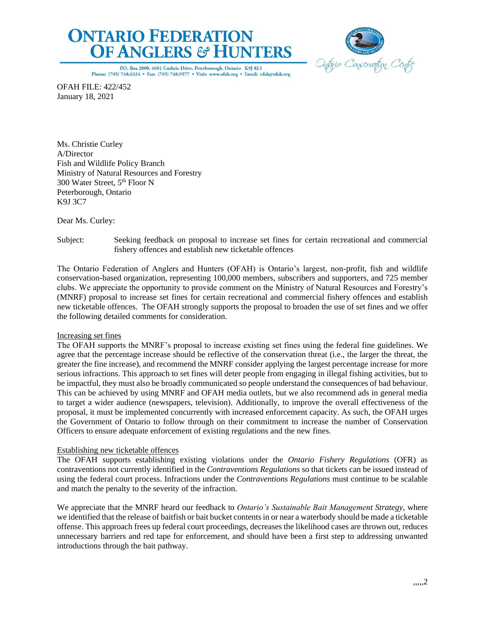# **ONTARIO FEDERATION OF ANGLERS & HUNTERS**



P.O. Box 2800, 4601 Guthrie Drive, Peterborough, Ontario K9J 8L5 Phone: (705) 748.6324 · Fax: (705) 748.9577 · Visit: www.ofah.org · Email: ofah@ofah.org

OFAH FILE: 422/452 January 18, 2021

Ms. Christie Curley A/Director Fish and Wildlife Policy Branch Ministry of Natural Resources and Forestry 300 Water Street, 5 th Floor N Peterborough, Ontario K9J 3C7

Dear Ms. Curley:

Subject: Seeking feedback on proposal to increase set fines for certain recreational and commercial fishery offences and establish new ticketable offences

The Ontario Federation of Anglers and Hunters (OFAH) is Ontario's largest, non-profit, fish and wildlife conservation-based organization, representing 100,000 members, subscribers and supporters, and 725 member clubs. We appreciate the opportunity to provide comment on the Ministry of Natural Resources and Forestry's (MNRF) proposal to increase set fines for certain recreational and commercial fishery offences and establish new ticketable offences. The OFAH strongly supports the proposal to broaden the use of set fines and we offer the following detailed comments for consideration.

# Increasing set fines

The OFAH supports the MNRF's proposal to increase existing set fines using the federal fine guidelines. We agree that the percentage increase should be reflective of the conservation threat (i.e., the larger the threat, the greater the fine increase), and recommend the MNRF consider applying the largest percentage increase for more serious infractions. This approach to set fines will deter people from engaging in illegal fishing activities, but to be impactful, they must also be broadly communicated so people understand the consequences of bad behaviour. This can be achieved by using MNRF and OFAH media outlets, but we also recommend ads in general media to target a wider audience (newspapers, television). Additionally, to improve the overall effectiveness of the proposal, it must be implemented concurrently with increased enforcement capacity. As such, the OFAH urges the Government of Ontario to follow through on their commitment to increase the number of Conservation Officers to ensure adequate enforcement of existing regulations and the new fines.

# Establishing new ticketable offences

The OFAH supports establishing existing violations under the *Ontario Fishery Regulations* (OFR) as contraventions not currently identified in the *Contraventions Regulations* so that tickets can be issued instead of using the federal court process. Infractions under the *Contraventions Regulations* must continue to be scalable and match the penalty to the severity of the infraction.

We appreciate that the MNRF heard our feedback to *Ontario's Sustainable Bait Management Strategy*, where we identified that the release of baitfish or bait bucket contents in or near a waterbody should be made a ticketable offense. This approach frees up federal court proceedings, decreases the likelihood cases are thrown out, reduces unnecessary barriers and red tape for enforcement, and should have been a first step to addressing unwanted introductions through the bait pathway.